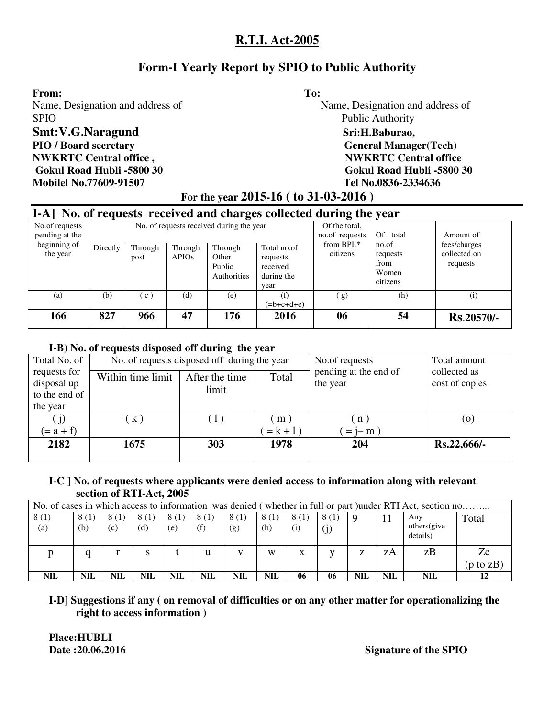# **Form-I Yearly Report by SPIO to Public Authority**

#### From: To:

SPIO Public Authority **Smt:V.G.Naragund** Sri:H.Baburao, PIO / Board secretary **General Manager**(Tech) **NWKRTC Central office , NWKRTC Central office** 

## **Mobilel No.77609-91507 Tel No.0836-2334636**

Name, Designation and address of Name, Designation and address of

 **Gokul Road Hubli -5800 30 Gokul Road Hubli -5800 30** 

# **For the year 2015-16 ( to 31-03-2016 )**

|                                  | I-A] No. of requests received and charges collected during the year |                 |                         |                                           |                                                           |                                 |                                                |                                          |  |  |  |  |  |  |  |
|----------------------------------|---------------------------------------------------------------------|-----------------|-------------------------|-------------------------------------------|-----------------------------------------------------------|---------------------------------|------------------------------------------------|------------------------------------------|--|--|--|--|--|--|--|
| No.of requests<br>pending at the |                                                                     |                 |                         | No. of requests received during the year  |                                                           | Of the total,<br>no.of requests | Of total                                       | Amount of                                |  |  |  |  |  |  |  |
| beginning of<br>the year         | Directly                                                            | Through<br>post | Through<br><b>APIOs</b> | Through<br>Other<br>Public<br>Authorities | Total no.of<br>requests<br>received<br>during the<br>year | from $BPL^*$<br>citizens        | no.of<br>requests<br>from<br>Women<br>citizens | fees/charges<br>collected on<br>requests |  |  |  |  |  |  |  |
| (a)                              | (b)                                                                 | (c)             | (d)                     | (e)                                       | (f)<br>$=$ b+c+d+e)                                       | (g)                             | (h)                                            | (i)                                      |  |  |  |  |  |  |  |
| 166                              | 827                                                                 | 966             | 47                      | 176                                       | 2016                                                      | 06                              | 54                                             | <b>Rs.20570/-</b>                        |  |  |  |  |  |  |  |

#### **I-B) No. of requests disposed off during the year**

| Total No. of                |                   | No. of requests disposed off during the year | No.of requests | Total amount                      |                                |
|-----------------------------|-------------------|----------------------------------------------|----------------|-----------------------------------|--------------------------------|
| requests for<br>disposal up | Within time limit | After the time                               | Total          | pending at the end of<br>the year | collected as<br>cost of copies |
| to the end of               |                   | limit                                        |                |                                   |                                |
| the year                    |                   |                                              |                |                                   |                                |
| (j)                         | (k)               | (1)                                          | (m)            | $n$ )                             | (0)                            |
| $(= a + f)$                 |                   |                                              | $= k + 1$ )    | $= i - m$                         |                                |
| 2182                        | 1675              | 303                                          | 1978           | 204                               | $Rs.22,666/$ -                 |
|                             |                   |                                              |                |                                   |                                |

#### **I-C ] No. of requests where applicants were denied access to information along with relevant section of RTI-Act, 2005**

|             | No. of cases in which access to information was denied (whether in full or part) under RTI Act, section no |             |                |             |             |             |             |             |             |          |            |                                 |           |  |
|-------------|------------------------------------------------------------------------------------------------------------|-------------|----------------|-------------|-------------|-------------|-------------|-------------|-------------|----------|------------|---------------------------------|-----------|--|
| 8(1)<br>(a) | 8(1)<br>(b)                                                                                                | 8(1)<br>(c) | 8(1)<br>(d)    | 8(1)<br>(e) | 8(1)<br>(f) | 8(1)<br>(g) | 8(1)<br>(h) | 8(1)<br>(i) | 8(1)<br>(j) | <b>Q</b> |            | Anv<br>others (give<br>details) | Total     |  |
|             |                                                                                                            |             | S              |             |             |             | W           | x           |             | Z        | zΑ         | zB                              | Zc        |  |
|             |                                                                                                            |             |                |             |             |             |             |             |             |          |            |                                 | (p to zB) |  |
| <b>NIL</b>  | NIL                                                                                                        | NIL         | $\mathbf{NIL}$ | <b>NIL</b>  | NIL         | NIL         | <b>NIL</b>  | 06          | 06          | NIL      | <b>NIL</b> | NIL                             |           |  |

## **I-D] Suggestions if any ( on removal of difficulties or on any other matter for operationalizing the right to access information )**

 **Place:HUBLI** 

**Date :20.06.2016** Signature of the SPIO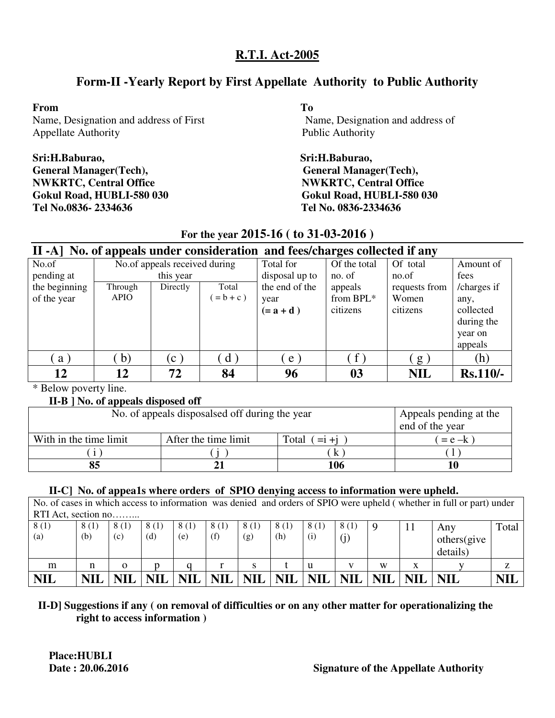# **Form-II -Yearly Report by First Appellate Authority to Public Authority**

#### **From To**

Name, Designation and address of First Name, Designation and address of Appellate Authority **Public Authority** Public Authority

# **Sri:H.Baburao, Sri:H.Baburao, General Manager(Tech), General Manager(Tech), NWKRTC, Central Office**  NWKRTC, Central Office **Tel No.0836- 2334636 Tel No. 0836-2334636**

**Gokul Road, HUBLI-580 030 Gokul Road, HUBLI-580 030** 

# **For the year 2015-16 ( to 31-03-2016 )**

|               |              |                               |              | II -A] No. of appeals under consideration and fees/charges collected if any |              |               |             |
|---------------|--------------|-------------------------------|--------------|-----------------------------------------------------------------------------|--------------|---------------|-------------|
| No.of         |              | No.of appeals received during |              | Total for                                                                   | Of the total | Of total      | Amount of   |
| pending at    |              | this year                     |              | disposal up to                                                              | no. of       | no.of         | fees        |
| the beginning | Through      | Directly                      | Total        | the end of the                                                              | appeals      | requests from | /charges if |
| of the year   | <b>APIO</b>  |                               | $= b + c$ )  | year                                                                        | from BPL*    | Women         | any,        |
|               |              |                               |              | $(=a+d)$                                                                    | citizens     | citizens      | collected   |
|               |              |                               |              |                                                                             |              |               | during the  |
|               |              |                               |              |                                                                             |              |               | year on     |
|               |              |                               |              |                                                                             |              |               | appeals     |
| a)            | $\mathbf{b}$ | $\left( c\right)$             | $\mathbf{d}$ | $e$ )                                                                       | $\hat{f}$ )  | g)            | (h)         |
| 12            | 12           | 72                            | 84           | 96                                                                          | 03           | <b>NIL</b>    | $Rs.110/-$  |

\* Below poverty line.

## **II-B ] No. of appeals disposed off**

| No. of appeals disposalsed off during the year | Appeals pending at the<br>end of the year |                   |           |
|------------------------------------------------|-------------------------------------------|-------------------|-----------|
| With in the time limit                         | After the time limit                      | Total<br>$=1 + i$ | $= e - k$ |
|                                                |                                           |                   |           |
|                                                |                                           | 106               |           |

## **II-C] No. of appea1s where orders of SPIO denying access to information were upheld.**

No. of cases in which access to information was denied and orders of SPIO were upheld ( whether in full or part) under  $RTT \Delta ct$ , section no

|                   | $R_{11}R_{11}$ , section no |            |            |            |            |            |            |                   |            |            |            |             |            |  |  |
|-------------------|-----------------------------|------------|------------|------------|------------|------------|------------|-------------------|------------|------------|------------|-------------|------------|--|--|
| 8(1)              | 8(1)                        | 8(1)       | 8(1)       | (1)        | 8 (1)      |            | 8(1)       | $\left(1\right)$  | 8(1)       |            |            | Any         | Total      |  |  |
| $\left( a\right)$ | (b)                         | (c)        | (d)        | (e)        | (f)        | (g)        | (h)        | $\left( 1\right)$ | U,         |            |            | others(give |            |  |  |
|                   |                             |            |            |            |            |            |            |                   |            |            |            | details)    |            |  |  |
| m                 |                             | о          |            |            |            | S          |            | u                 |            | W          | X          |             | z          |  |  |
| <b>NIL</b>        | <b>NIL</b>                  | <b>NIL</b> | <b>NIL</b> | <b>NIL</b> | <b>NIL</b> | <b>NIL</b> | <b>NIL</b> | <b>NIL</b>        | <b>NIL</b> | <b>NIL</b> | <b>NIL</b> | <b>NIL</b>  | <b>NIL</b> |  |  |

## **II-D] Suggestions if any ( on removal of difficulties or on any other matter for operationalizing the right to access information )**

**Place:HUBLI**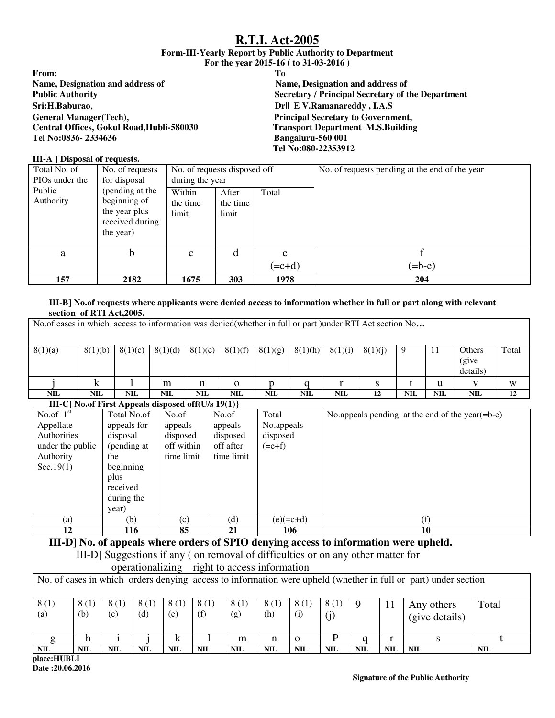#### **Form-III-Yearly Report by Public Authority to Department For the year 2015-16 ( to 31-03-2016 )**

|                                           | $-0.1$ , $-0.1$ , $-0.1$ , $-0.1$ , $-0.1$ , $-0.1$ , $-0.1$ |
|-------------------------------------------|--------------------------------------------------------------|
| From:                                     | Tо                                                           |
| <b>Name, Designation and address of</b>   | Name, Designation and address of                             |
| <b>Public Authority</b>                   | <b>Secretary / Principal Secretary of the Department</b>     |
| Sri:H.Baburao,                            | <b>Dr</b>    E V.Ramanareddy, I.A.S                          |
| <b>General Manager</b> (Tech),            | <b>Principal Secretary to Government,</b>                    |
| Central Offices, Gokul Road, Hubli-580030 | <b>Transport Department M.S.Building</b>                     |
| Tel No:0836- 2334636                      | Bangaluru-560 001                                            |
|                                           | Tel No:080-22353912                                          |
|                                           |                                                              |

#### **III-A ] Disposal of requests.**

| Total No. of<br>PIO <sub>s</sub> under the | No. of requests<br>for disposal                                                  | No. of requests disposed off<br>during the year |                            |               | No. of requests pending at the end of the year |
|--------------------------------------------|----------------------------------------------------------------------------------|-------------------------------------------------|----------------------------|---------------|------------------------------------------------|
| Public<br>Authority                        | (pending at the<br>beginning of<br>the year plus<br>received during<br>the year) | Within<br>the time<br>limit                     | After<br>the time<br>limit | Total         |                                                |
| a                                          | b.                                                                               | $\mathbf{C}$                                    | d                          | e<br>$(=c+d)$ | $(=b-e)$                                       |
| 157                                        | 2182                                                                             | 1675                                            | 303                        | 1978          | 204                                            |

#### **III-B] No.of requests where applicants were denied access to information whether in full or part along with relevant section of RTI Act,2005.**

|            | No.of cases in which access to information was denied (whether in full or part) under RTI Act section No                                                |            |            |         |            |         |            |            |         |            |     |            |       |  |  |
|------------|---------------------------------------------------------------------------------------------------------------------------------------------------------|------------|------------|---------|------------|---------|------------|------------|---------|------------|-----|------------|-------|--|--|
| 8(1)(a)    | 8(1)(b)                                                                                                                                                 | 8(1)(c)    | 8(1)(d)    | 8(1)(e) | 8(1)(f)    | 8(1)(g) | 8(1)(h)    | 8(1)(i)    | 8(1)(i) | 9          | 11  | Others     | Total |  |  |
|            |                                                                                                                                                         |            |            |         |            |         |            |            |         |            |     | (give      |       |  |  |
|            |                                                                                                                                                         |            |            |         |            |         |            |            |         |            |     | details)   |       |  |  |
|            |                                                                                                                                                         |            | m          | n       | 0          |         |            |            |         |            | u   |            | W     |  |  |
| <b>NIL</b> | <b>NIL</b>                                                                                                                                              | <b>NIL</b> | <b>NIL</b> | NIL     | <b>NIL</b> | NIL     | <b>NIL</b> | <b>NIL</b> | 12      | <b>NIL</b> | NIL | <b>NIL</b> | 12    |  |  |
|            | $\mathbf{H}$ $\mathbf{C}$ $\mathbf{N}_{\alpha}$ of $\mathbf{E}$ and $\mathbf{A}$ and $\mathbf{C}$ denoted affect $\mathbf{L}$ $\mathbf{C}$ $\mathbf{D}$ |            |            |         |            |         |            |            |         |            |     |            |       |  |  |

#### **III-C] No.of First Appeals disposed off(U/s 19(1)}**  No.of  $1<sup>st</sup>$ Appellate Authorities under the public Authority Sec.19(1) Total No.of appeals for disposal (pending at the beginning plus received during the year) No.of appeals disposed off within time limit No.of appeals disposed off after time limit Total No.appeals disposed  $(=e+f)$ No.appeals pending at the end of the year(=b-e) (a)  $(b)$   $(c)$   $(d)$   $(e)(=c+d)$  (f) **12** 116 85 21 106 10

#### **III-D] No. of appeals where orders of SPIO denying access to information were upheld.**

III-D] Suggestions if any ( on removal of difficulties or on any other matter for

|             |             |             | operationalizing |             | right to access information |             |             |             |            |     |            |                                                                                                                |            |
|-------------|-------------|-------------|------------------|-------------|-----------------------------|-------------|-------------|-------------|------------|-----|------------|----------------------------------------------------------------------------------------------------------------|------------|
|             |             |             |                  |             |                             |             |             |             |            |     |            | No. of cases in which orders denying access to information were upheld (whether in full or part) under section |            |
| 8(1)<br>(a) | 8(1)<br>(b) | 8(1)<br>(c) | 8(1)<br>(d)      | 8(1)<br>(e) | 8(1)<br>(f)                 | 8(1)<br>(g) | 8(1)<br>(h) | 8(1)<br>(i) | 8(1)       |     |            | Any others<br>(give details)                                                                                   | Total      |
|             | h           |             |                  | k           |                             | m           | n           | $\Omega$    | D          |     |            |                                                                                                                |            |
| <b>NIL</b>  | <b>NIL</b>  | <b>NIL</b>  | <b>NIL</b>       | <b>NIL</b>  | <b>NIL</b>                  | <b>NIL</b>  | <b>NIL</b>  | <b>NIL</b>  | <b>NIL</b> | NIL | <b>NIL</b> | <b>NIL</b>                                                                                                     | <b>NIL</b> |

**place:HUBLI Date :20.06.2016**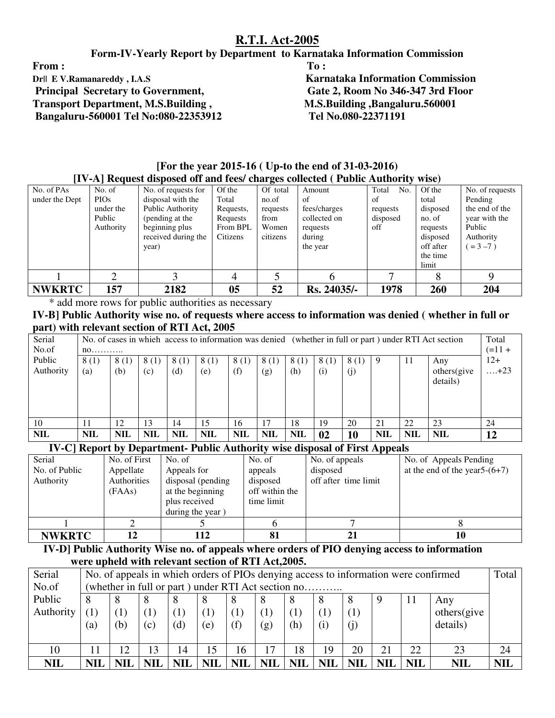#### **Form-IV-Yearly Report by Department to Karnataka Information Commission**

From : To : The second second second second second second second second second second second second second second second second second second second second second second second second second second second second second sec **Transport Department, M.S.Building , M.S.Building ,Bangaluru.560001 Bangaluru-560001 Tel No:080-22353912 Tel No.080-22371191** 

**Dr|| E V.Ramanareddy , I.A.S** Karnataka Information Commission **Principal Secretary to Government, Gate 2, Room No 346-347 3rd Floor** 

|                | [17] [A] Request disposed on and lees/ charges conected ( Fublic Authority wise) |                     |           |          |              |              |           |                 |  |  |  |  |  |  |
|----------------|----------------------------------------------------------------------------------|---------------------|-----------|----------|--------------|--------------|-----------|-----------------|--|--|--|--|--|--|
| No. of PAs     | No. of                                                                           | No. of requests for | Of the    | Of total | Amount       | Total<br>No. | Of the    | No. of requests |  |  |  |  |  |  |
| under the Dept | <b>PIOs</b>                                                                      | disposal with the   | Total     | no.of    | of           | of           | total     | Pending         |  |  |  |  |  |  |
|                | under the                                                                        | Public Authority    | Requests, | requests | fees/charges | requests     | disposed  | the end of the  |  |  |  |  |  |  |
|                | Public                                                                           | (pending at the     | Requests  | from     | collected on | disposed     | no. of    | year with the   |  |  |  |  |  |  |
|                | Authority                                                                        | beginning plus      | From BPL  | Women    | requests     | off          | requests  | Public          |  |  |  |  |  |  |
|                |                                                                                  | received during the | Citizens  | citizens | during       |              | disposed  | Authority       |  |  |  |  |  |  |
|                |                                                                                  | year)               |           |          | the year     |              | off after | $= 3 - 7$ )     |  |  |  |  |  |  |
|                |                                                                                  |                     |           |          |              |              | the time  |                 |  |  |  |  |  |  |
|                |                                                                                  |                     |           |          |              |              | limit     |                 |  |  |  |  |  |  |
|                |                                                                                  |                     |           |          |              |              |           | Q               |  |  |  |  |  |  |
| <b>NWKRTC</b>  | 157                                                                              | 2182                | 05        | 52       | Rs. 24035/-  | 1978         | 260       | 204             |  |  |  |  |  |  |

#### **[For the year 2015-16 ( Up-to the end of 31-03-2016) [IV-A] Request disposed off and fees/ charges collected ( Public Authority wise)**

\* add more rows for public authorities as necessary

**IV-B] Public Authority wise no. of requests where access to information was denied ( whether in full or part) with relevant section of RTI Act, 2005** 

| Serial     |            | No. of cases in which access to information was denied (whether in full or part) under RTI Act section<br>$(=11 +$ |            |            |            |            |            |            |      |      |            |            |             | Total       |
|------------|------------|--------------------------------------------------------------------------------------------------------------------|------------|------------|------------|------------|------------|------------|------|------|------------|------------|-------------|-------------|
| No.of      |            | $n0$                                                                                                               |            |            |            |            |            |            |      |      |            |            |             |             |
| Public     | 8(1)       | 8(1)                                                                                                               | 8(1)       | 8(1)       | 8(1)       | 8(1)       | 8(1)       | 8 (1)      | 8(1) | 8(1) |            | -11        | Any         | $12+$       |
| Authority  | (a)        | (b)                                                                                                                | (c)        | (d)        | (e)        | (f)        | (g)        | (h)        | (i)  | (j)  |            |            | others(give | $\dots +23$ |
|            |            |                                                                                                                    |            |            |            |            |            |            |      |      |            |            | details)    |             |
|            |            |                                                                                                                    |            |            |            |            |            |            |      |      |            |            |             |             |
|            |            |                                                                                                                    |            |            |            |            |            |            |      |      |            |            |             |             |
|            |            |                                                                                                                    |            |            |            |            |            |            |      |      |            |            |             |             |
| 10         |            | 12                                                                                                                 | 13         | 14         | 15         | 16         | 17         | 18         | 19   | 20   | 21         | 22         | 23          | 24          |
| <b>NIL</b> | <b>NIL</b> | <b>NIL</b>                                                                                                         | <b>NIL</b> | <b>NIL</b> | <b>NIL</b> | <b>NIL</b> | <b>NIL</b> | <b>NIL</b> | 02   | 10   | <b>NIL</b> | <b>NIL</b> | <b>NIL</b>  | 12          |

**IV-C] Report by Department- Public Authority wise disposal of First Appeals** 

| Serial        | No. of First | No. of            | No. of         | No. of appeals       | No. of Appeals Pending           |
|---------------|--------------|-------------------|----------------|----------------------|----------------------------------|
| No. of Public | Appellate    | Appeals for       | appeals        | disposed             | at the end of the year $5-(6+7)$ |
| Authority     | Authorities  | disposal (pending | disposed       | off after time limit |                                  |
|               | (FAAs)       | at the beginning  | off within the |                      |                                  |
|               |              | plus received     | time limit     |                      |                                  |
|               |              | during the year)  |                |                      |                                  |
|               |              |                   |                |                      |                                  |
| <b>NWKRTC</b> | 12           | 112               | 81             |                      | 10                               |

 **IV-D] Public Authority Wise no. of appeals where orders of PIO denying access to information were upheld with relevant section of RTI Act,2005.** 

| Serial     | No. of appeals in which orders of PIOs denying access to information were confirmed |            |                  |            |            |            |            |            |            |            | Total        |            |            |            |  |
|------------|-------------------------------------------------------------------------------------|------------|------------------|------------|------------|------------|------------|------------|------------|------------|--------------|------------|------------|------------|--|
| No.of      | (whether in full or part) under RTI Act section no                                  |            |                  |            |            |            |            |            |            |            |              |            |            |            |  |
| Public     | 11<br>8<br>8<br>8<br>Any                                                            |            |                  |            |            |            |            |            |            |            |              |            |            |            |  |
| Authority  |                                                                                     |            | $\left(1\right)$ | (1)        |            |            |            | (1,        |            |            | others(give) |            |            |            |  |
|            | (a)                                                                                 | (b)        | (c)              | (d)        | (e)        | (f)        | (g)        | (h)        |            | (j)        |              |            | details)   |            |  |
|            |                                                                                     |            |                  |            |            |            |            |            |            |            |              |            |            |            |  |
| 10         | $\cdot$ 1                                                                           | 12         | 13               | 14         | 15         | 16         | 17         | 18         | 19         | 20         | 21           | 22         | 23         | 24         |  |
| <b>NIL</b> | <b>NIL</b>                                                                          | <b>NIL</b> | NII              | <b>NIL</b> | <b>NIL</b> | <b>NIL</b> | <b>NIL</b> | <b>NIL</b> | <b>NIL</b> | <b>NIL</b> | <b>NIL</b>   | <b>NIL</b> | <b>NIL</b> | <b>NIL</b> |  |